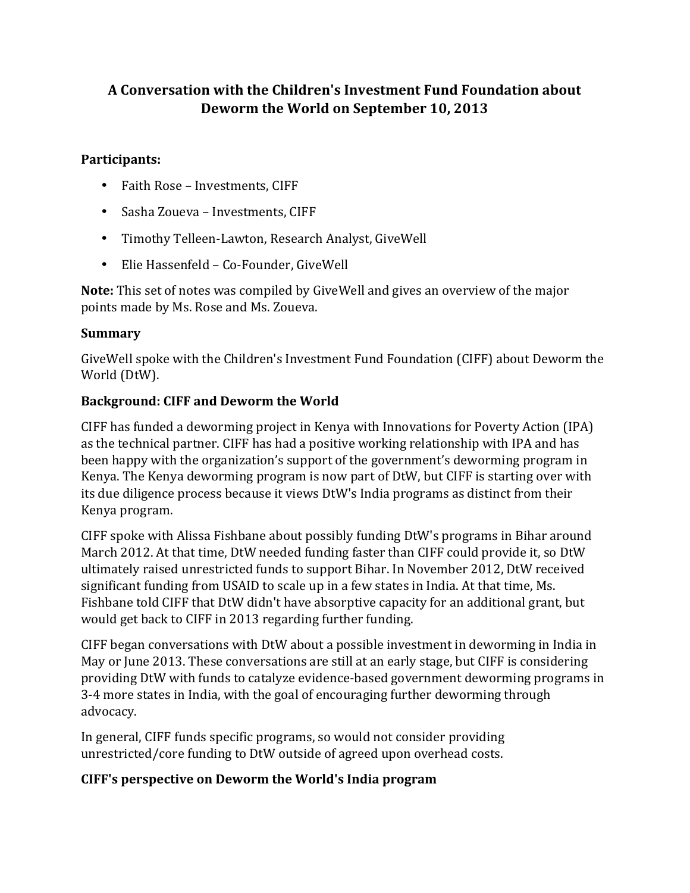# **A Conversation with the Children's Investment Fund Foundation about** Deworm the World on September 10, 2013

#### **Participants:**

- Faith Rose Investments, CIFF
- Sasha Zoueva Investments, CIFF
- Timothy Telleen-Lawton, Research Analyst, GiveWell
- Elie Hassenfeld Co-Founder, GiveWell

**Note:** This set of notes was compiled by GiveWell and gives an overview of the major points made by Ms. Rose and Ms. Zoueva.

#### **Summary**

GiveWell spoke with the Children's Investment Fund Foundation (CIFF) about Deworm the World (DtW).

## **Background: CIFF and Deworm the World**

CIFF has funded a deworming project in Kenya with Innovations for Poverty Action (IPA) as the technical partner. CIFF has had a positive working relationship with IPA and has been happy with the organization's support of the government's deworming program in Kenya. The Kenya deworming program is now part of DtW, but CIFF is starting over with its due diligence process because it views DtW's India programs as distinct from their Kenya program.

CIFF spoke with Alissa Fishbane about possibly funding DtW's programs in Bihar around March 2012. At that time, DtW needed funding faster than CIFF could provide it, so DtW ultimately raised unrestricted funds to support Bihar. In November 2012, DtW received significant funding from USAID to scale up in a few states in India. At that time, Ms. Fishbane told CIFF that DtW didn't have absorptive capacity for an additional grant, but would get back to CIFF in 2013 regarding further funding.

CIFF began conversations with DtW about a possible investment in deworming in India in May or June 2013. These conversations are still at an early stage, but CIFF is considering providing DtW with funds to catalyze evidence-based government deworming programs in 3-4 more states in India, with the goal of encouraging further deworming through advocacy.

In general, CIFF funds specific programs, so would not consider providing unrestricted/core funding to DtW outside of agreed upon overhead costs.

## **CIFF's perspective on Deworm the World's India program**